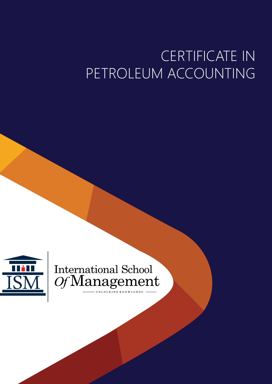# CERTIFICATE IN PETROLEUM ACCOUNTING



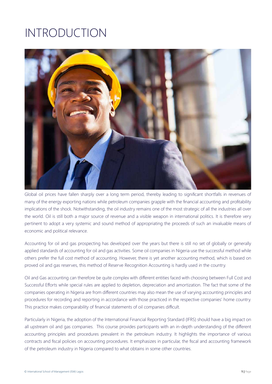### INTRODUCTION



Global oil prices have fallen sharply over a long term period, thereby leading to significant shortfalls in revenues of many of the energy exporting nations while petroleum companies grapple with the financial accounting and profitability implications of the shock. Notwithstanding, the oil industry remains one of the most strategic of all the industries all over the world. Oil is still both a major source of revenue and a visible weapon in international politics. It is therefore very pertinent to adopt a very systemic and sound method of appropriating the proceeds of such an invaluable means of economic and political relevance.

Accounting for oil and gas prospecting has developed over the years but there is still no set of globally or generally applied standards of accounting for oil and gas activities. Some oil companies in Nigeria use the successful method while others prefer the full cost method of accounting. However, there is yet another accounting method, which is based on proved oil and gas reserves, this method of Reserve Recognition Accounting is hardly used in the country.

Oil and Gas accounting can therefore be quite complex with different entities faced with choosing between Full Cost and Successful Efforts while special rules are applied to depletion, depreciation and amortization. The fact that some of the companies operating in Nigeria are from different countries may also mean the use of varying accounting principles and procedures for recording and reporting in accordance with those practiced in the respective companies' home country. This practice makes comparability of financial statements of oil companies difficult.

Particularly in Nigeria, the adoption of the International Financial Reporting Standard (IFRS) should have a big impact on all upstream oil and gas companies. This course provides participants with an in-depth understanding of the different accounting principles and procedures prevalent in the petroleum industry. It highlights the importance of various contracts and fiscal policies on accounting procedures. It emphasizes in particular, the fiscal and accounting framework of the petroleum industry in Nigeria compared to what obtains in some other countries.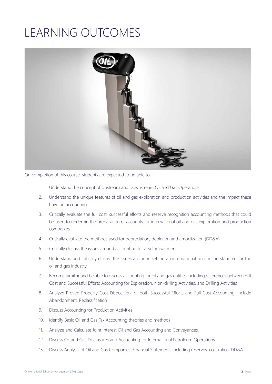## LEARNING OUTCOMES



On completion of this course, students are expected to be able to:

- 1. Understand the concept of Upstream and Downstream Oil and Gas Operations.
- 2. Understand the unique features of oil and gas exploration and production activities and the impact these have on accounting
- 3. Critically evaluate the full cost, successful efforts and reserve recognition accounting methods that could be used to underpin the preparation of accounts for international oil and gas exploration and production companies
- 4. Critically evaluate the methods used for depreciation, depletion and amortization (DD&A).
- 5. Critically discuss the issues around accounting for asset impairment.
- 6. Understand and critically discuss the issues arising in setting an international accounting standard for the oil and gas industry
- 7. Become familiar and be able to discuss accounting for oil and gas entities including differences between Full Cost and Successful Efforts Accounting for Exploration, Non-drilling Activities, and Drilling Activities
- 8. Analyze Proved Property Cost Disposition for both Successful Efforts and Full Cost Accounting. Include Abandonment, Reclassification
- 9. Discuss Accounting for Production Activities
- 10. Identify Basic Oil and Gas Tax Accounting theories and methods
- 11. Analyze and Calculate Joint Interest Oil and Gas Accounting and Conveyances.
- 12. Discuss Oil and Gas Disclosures and Accounting for International Petroleum Operations.
- 13. Discuss Analysis of Oil and Gas Companies' Financial Statements including reserves, cost ratios, DD&A.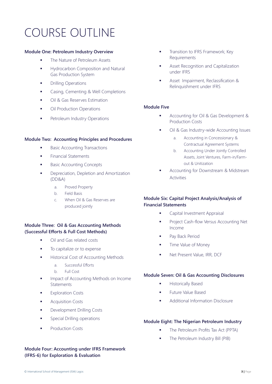### COURSE OUTLINE

#### **Module One: Petroleum Industry Overview**

- **The Nature of Petroleum Assets**
- **Hydrocarbon Composition and Natural** Gas Production System
- **•** Drilling Operations
- **Casing, Cementing & Well Completions**
- **Cil & Gas Reserves Estimation**
- Oil Production Operations
- **Petroleum Industry Operations**

#### **Module Two: Accounting Principles and Procedures**

- **Basic Accounting Transactions**
- **Financial Statements**
- **Basic Accounting Concepts**
- **•** Depreciation, Depletion and Amortization (DD&A)
	- a. Proved Property
	- b. Field Basis
	- c. When Oil & Gas Reserves are produced jointly

#### **Module Three: Oil & Gas Accounting Methods (Successful Efforts & Full Cost Methods)**

- **•** Oil and Gas related costs
- $\blacksquare$  To capitalize or to expense
- Historical Cost of Accounting Methods
	- a. Successful Efforts
	- b. Full Cost
- **IMPACT OF ACCOUNTING Methods on Income Statements**
- Exploration Costs
- **Acquisition Costs**
- **Development Drilling Costs**
- **Special Drilling operations**
- Production Costs

#### **Module Four: Accounting under IFRS Framework (IFRS-6) for Exploration & Evaluation**

- **Transition to IFRS Framework; Key** Requirements
- Asset Recognition and Capitalization under IFRS
- Asset Impairment, Reclassification & Relinquishment under IFRS

#### **Module Five**

- Accounting for Oil & Gas Development & Production Costs
- Oil & Gas Industry-wide Accounting Issues
	- a. Accounting in Concessionary & Contractual Agreement Systems
	- b. Accounting Under Jointly Controlled Assets, Joint Ventures, Farm-in/Farmout & Unitization
- Accounting for Downstream & Midstream Activities

#### **Module Six: Capital Project Analysis/Analysis of Financial Statements**

- **Capital Investment Appraisal**
- **Project Cash-flow Versus Accounting Net** Income
- **Pay Back Period**
- **Time Value of Money**
- Net Present Value, IRR, DCF

#### **Module Seven: Oil & Gas Accounting Disclosures**

- **Historically Based**
- Future Value Based
- **Additional Information Disclosure**

#### **Module Eight: The Nigerian Petroleum Industry**

- The Petroleum Profits Tax Act (PPTA)
- The Petroleum Industry Bill (PIB)